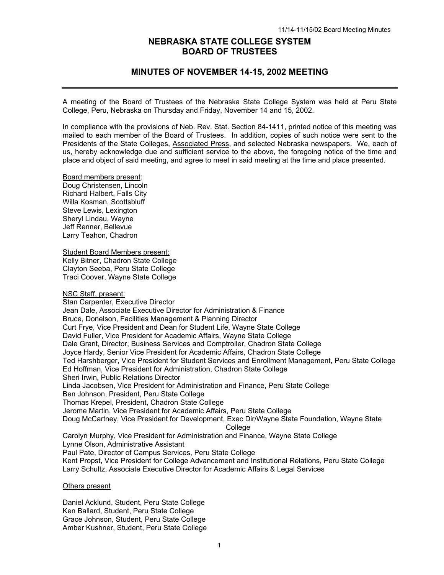# **NEBRASKA STATE COLLEGE SYSTEM BOARD OF TRUSTEES**

# **MINUTES OF NOVEMBER 14-15, 2002 MEETING**

A meeting of the Board of Trustees of the Nebraska State College System was held at Peru State College, Peru, Nebraska on Thursday and Friday, November 14 and 15, 2002.

In compliance with the provisions of Neb. Rev. Stat. Section 84-1411, printed notice of this meeting was mailed to each member of the Board of Trustees. In addition, copies of such notice were sent to the Presidents of the State Colleges, Associated Press, and selected Nebraska newspapers. We, each of us, hereby acknowledge due and sufficient service to the above, the foregoing notice of the time and place and object of said meeting, and agree to meet in said meeting at the time and place presented.

Board members present: Doug Christensen, Lincoln Richard Halbert, Falls City Willa Kosman, Scottsbluff Steve Lewis, Lexington Sheryl Lindau, Wayne Jeff Renner, Bellevue Larry Teahon, Chadron

Student Board Members present: Kelly Bitner, Chadron State College Clayton Seeba, Peru State College Traci Coover, Wayne State College

#### NSC Staff, present:

Stan Carpenter, Executive Director Jean Dale, Associate Executive Director for Administration & Finance Bruce, Donelson, Facilities Management & Planning Director Curt Frye, Vice President and Dean for Student Life, Wayne State College David Fuller, Vice President for Academic Affairs, Wayne State College Dale Grant, Director, Business Services and Comptroller, Chadron State College Joyce Hardy, Senior Vice President for Academic Affairs, Chadron State College Ted Harshberger, Vice President for Student Services and Enrollment Management, Peru State College Ed Hoffman, Vice President for Administration, Chadron State College Sheri Irwin, Public Relations Director Linda Jacobsen, Vice President for Administration and Finance, Peru State College Ben Johnson, President, Peru State College Thomas Krepel, President, Chadron State College Jerome Martin, Vice President for Academic Affairs, Peru State College Doug McCartney, Vice President for Development, Exec Dir/Wayne State Foundation, Wayne State College Carolyn Murphy, Vice President for Administration and Finance, Wayne State College Lynne Olson, Administrative Assistant Paul Pate, Director of Campus Services, Peru State College

Kent Propst, Vice President for College Advancement and Institutional Relations, Peru State College Larry Schultz, Associate Executive Director for Academic Affairs & Legal Services

#### Others present

Daniel Acklund, Student, Peru State College Ken Ballard, Student, Peru State College Grace Johnson, Student, Peru State College Amber Kushner, Student, Peru State College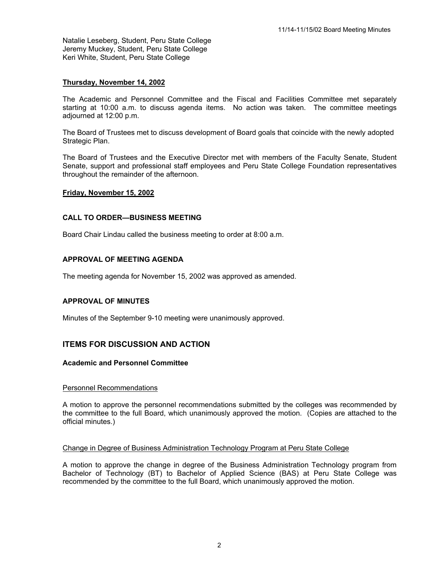Natalie Leseberg, Student, Peru State College Jeremy Muckey, Student, Peru State College Keri White, Student, Peru State College

# **Thursday, November 14, 2002**

The Academic and Personnel Committee and the Fiscal and Facilities Committee met separately starting at 10:00 a.m. to discuss agenda items. No action was taken. The committee meetings adjourned at 12:00 p.m.

The Board of Trustees met to discuss development of Board goals that coincide with the newly adopted Strategic Plan.

The Board of Trustees and the Executive Director met with members of the Faculty Senate, Student Senate, support and professional staff employees and Peru State College Foundation representatives throughout the remainder of the afternoon.

### **Friday, November 15, 2002**

## **CALL TO ORDER—BUSINESS MEETING**

Board Chair Lindau called the business meeting to order at 8:00 a.m.

# **APPROVAL OF MEETING AGENDA**

The meeting agenda for November 15, 2002 was approved as amended.

### **APPROVAL OF MINUTES**

Minutes of the September 9-10 meeting were unanimously approved.

# **ITEMS FOR DISCUSSION AND ACTION**

### **Academic and Personnel Committee**

#### Personnel Recommendations

A motion to approve the personnel recommendations submitted by the colleges was recommended by the committee to the full Board, which unanimously approved the motion. (Copies are attached to the official minutes.)

### Change in Degree of Business Administration Technology Program at Peru State College

A motion to approve the change in degree of the Business Administration Technology program from Bachelor of Technology (BT) to Bachelor of Applied Science (BAS) at Peru State College was recommended by the committee to the full Board, which unanimously approved the motion.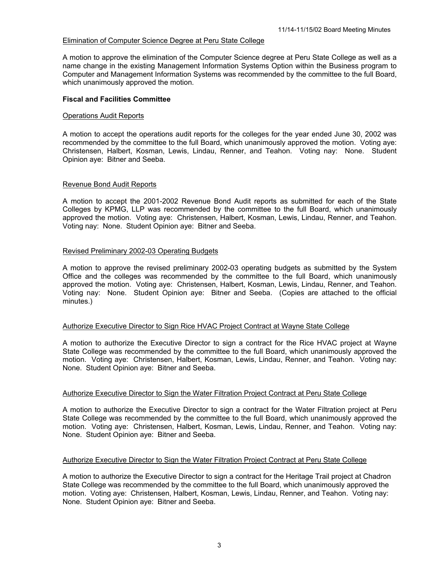# Elimination of Computer Science Degree at Peru State College

A motion to approve the elimination of the Computer Science degree at Peru State College as well as a name change in the existing Management Information Systems Option within the Business program to Computer and Management Information Systems was recommended by the committee to the full Board, which unanimously approved the motion.

## **Fiscal and Facilities Committee**

## Operations Audit Reports

A motion to accept the operations audit reports for the colleges for the year ended June 30, 2002 was recommended by the committee to the full Board, which unanimously approved the motion. Voting aye: Christensen, Halbert, Kosman, Lewis, Lindau, Renner, and Teahon. Voting nay: None. Student Opinion aye: Bitner and Seeba.

# Revenue Bond Audit Reports

A motion to accept the 2001-2002 Revenue Bond Audit reports as submitted for each of the State Colleges by KPMG, LLP was recommended by the committee to the full Board, which unanimously approved the motion. Voting aye: Christensen, Halbert, Kosman, Lewis, Lindau, Renner, and Teahon. Voting nay: None. Student Opinion aye: Bitner and Seeba.

# Revised Preliminary 2002-03 Operating Budgets

A motion to approve the revised preliminary 2002-03 operating budgets as submitted by the System Office and the colleges was recommended by the committee to the full Board, which unanimously approved the motion. Voting aye: Christensen, Halbert, Kosman, Lewis, Lindau, Renner, and Teahon. Voting nay: None. Student Opinion aye: Bitner and Seeba. (Copies are attached to the official minutes.)

### Authorize Executive Director to Sign Rice HVAC Project Contract at Wayne State College

A motion to authorize the Executive Director to sign a contract for the Rice HVAC project at Wayne State College was recommended by the committee to the full Board, which unanimously approved the motion. Voting aye: Christensen, Halbert, Kosman, Lewis, Lindau, Renner, and Teahon. Voting nay: None. Student Opinion aye: Bitner and Seeba.

# Authorize Executive Director to Sign the Water Filtration Project Contract at Peru State College

A motion to authorize the Executive Director to sign a contract for the Water Filtration project at Peru State College was recommended by the committee to the full Board, which unanimously approved the motion. Voting aye: Christensen, Halbert, Kosman, Lewis, Lindau, Renner, and Teahon. Voting nay: None. Student Opinion aye: Bitner and Seeba.

### Authorize Executive Director to Sign the Water Filtration Project Contract at Peru State College

A motion to authorize the Executive Director to sign a contract for the Heritage Trail project at Chadron State College was recommended by the committee to the full Board, which unanimously approved the motion. Voting aye: Christensen, Halbert, Kosman, Lewis, Lindau, Renner, and Teahon. Voting nay: None. Student Opinion aye: Bitner and Seeba.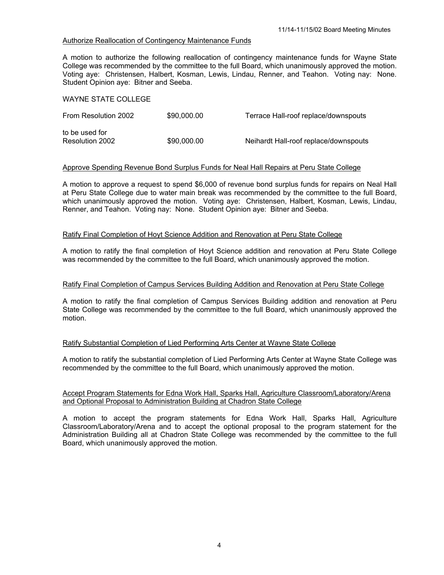# Authorize Reallocation of Contingency Maintenance Funds

A motion to authorize the following reallocation of contingency maintenance funds for Wayne State College was recommended by the committee to the full Board, which unanimously approved the motion. Voting aye: Christensen, Halbert, Kosman, Lewis, Lindau, Renner, and Teahon. Voting nay: None. Student Opinion aye: Bitner and Seeba.

## WAYNE STATE COLLEGE

| From Resolution 2002 | \$90,000,00 | Terrace Hall-roof replace/downspouts  |
|----------------------|-------------|---------------------------------------|
| to be used for       |             |                                       |
| Resolution 2002      | \$90,000,00 | Neihardt Hall-roof replace/downspouts |

# Approve Spending Revenue Bond Surplus Funds for Neal Hall Repairs at Peru State College

A motion to approve a request to spend \$6,000 of revenue bond surplus funds for repairs on Neal Hall at Peru State College due to water main break was recommended by the committee to the full Board, which unanimously approved the motion. Voting aye: Christensen, Halbert, Kosman, Lewis, Lindau, Renner, and Teahon. Voting nay: None. Student Opinion aye: Bitner and Seeba.

### Ratify Final Completion of Hoyt Science Addition and Renovation at Peru State College

A motion to ratify the final completion of Hoyt Science addition and renovation at Peru State College was recommended by the committee to the full Board, which unanimously approved the motion.

### Ratify Final Completion of Campus Services Building Addition and Renovation at Peru State College

A motion to ratify the final completion of Campus Services Building addition and renovation at Peru State College was recommended by the committee to the full Board, which unanimously approved the motion.

# Ratify Substantial Completion of Lied Performing Arts Center at Wayne State College

A motion to ratify the substantial completion of Lied Performing Arts Center at Wayne State College was recommended by the committee to the full Board, which unanimously approved the motion.

# Accept Program Statements for Edna Work Hall, Sparks Hall, Agriculture Classroom/Laboratory/Arena and Optional Proposal to Administration Building at Chadron State College

A motion to accept the program statements for Edna Work Hall, Sparks Hall, Agriculture Classroom/Laboratory/Arena and to accept the optional proposal to the program statement for the Administration Building all at Chadron State College was recommended by the committee to the full Board, which unanimously approved the motion.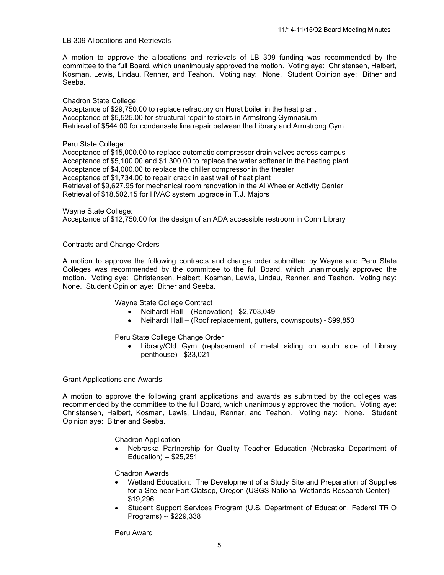## LB 309 Allocations and Retrievals

A motion to approve the allocations and retrievals of LB 309 funding was recommended by the committee to the full Board, which unanimously approved the motion. Voting aye: Christensen, Halbert, Kosman, Lewis, Lindau, Renner, and Teahon. Voting nay: None. Student Opinion aye: Bitner and Seeba.

Chadron State College:

Acceptance of \$29,750.00 to replace refractory on Hurst boiler in the heat plant Acceptance of \$5,525.00 for structural repair to stairs in Armstrong Gymnasium Retrieval of \$544.00 for condensate line repair between the Library and Armstrong Gym

Peru State College:

Acceptance of \$15,000.00 to replace automatic compressor drain valves across campus Acceptance of \$5,100.00 and \$1,300.00 to replace the water softener in the heating plant Acceptance of \$4,000.00 to replace the chiller compressor in the theater Acceptance of \$1,734.00 to repair crack in east wall of heat plant Retrieval of \$9,627.95 for mechanical room renovation in the Al Wheeler Activity Center Retrieval of \$18,502.15 for HVAC system upgrade in T.J. Majors

Wayne State College: Acceptance of \$12,750.00 for the design of an ADA accessible restroom in Conn Library

### Contracts and Change Orders

A motion to approve the following contracts and change order submitted by Wayne and Peru State Colleges was recommended by the committee to the full Board, which unanimously approved the motion. Voting aye: Christensen, Halbert, Kosman, Lewis, Lindau, Renner, and Teahon. Voting nay: None. Student Opinion aye: Bitner and Seeba.

Wayne State College Contract

- Neihardt Hall (Renovation) \$2,703,049
- Neihardt Hall (Roof replacement, gutters, downspouts) \$99,850

Peru State College Change Order

• Library/Old Gym (replacement of metal siding on south side of Library penthouse) - \$33,021

### Grant Applications and Awards

A motion to approve the following grant applications and awards as submitted by the colleges was recommended by the committee to the full Board, which unanimously approved the motion. Voting aye: Christensen, Halbert, Kosman, Lewis, Lindau, Renner, and Teahon. Voting nay: None. Student Opinion aye: Bitner and Seeba.

Chadron Application

• Nebraska Partnership for Quality Teacher Education (Nebraska Department of Education) -- \$25,251

Chadron Awards

- Wetland Education: The Development of a Study Site and Preparation of Supplies for a Site near Fort Clatsop, Oregon (USGS National Wetlands Research Center) -- \$19,296
- Student Support Services Program (U.S. Department of Education, Federal TRIO Programs) -- \$229,338

Peru Award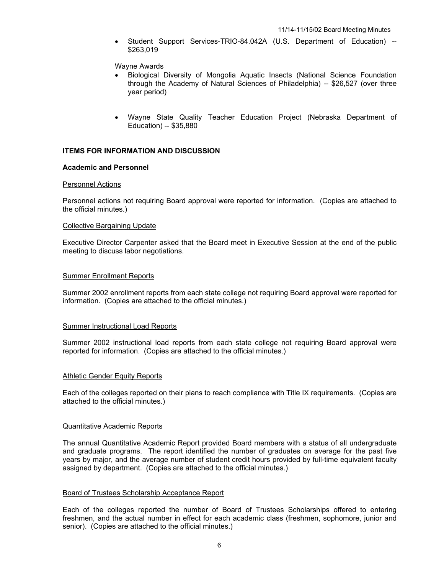• Student Support Services-TRIO-84.042A (U.S. Department of Education) -- \$263,019

#### Wayne Awards

- Biological Diversity of Mongolia Aquatic Insects (National Science Foundation through the Academy of Natural Sciences of Philadelphia) -- \$26,527 (over three year period)
- Wayne State Quality Teacher Education Project (Nebraska Department of Education) -- \$35,880

### **ITEMS FOR INFORMATION AND DISCUSSION**

#### **Academic and Personnel**

#### Personnel Actions

Personnel actions not requiring Board approval were reported for information. (Copies are attached to the official minutes.)

#### Collective Bargaining Update

Executive Director Carpenter asked that the Board meet in Executive Session at the end of the public meeting to discuss labor negotiations.

#### Summer Enrollment Reports

Summer 2002 enrollment reports from each state college not requiring Board approval were reported for information. (Copies are attached to the official minutes.)

#### Summer Instructional Load Reports

Summer 2002 instructional load reports from each state college not requiring Board approval were reported for information. (Copies are attached to the official minutes.)

### Athletic Gender Equity Reports

Each of the colleges reported on their plans to reach compliance with Title IX requirements. (Copies are attached to the official minutes.)

#### Quantitative Academic Reports

The annual Quantitative Academic Report provided Board members with a status of all undergraduate and graduate programs. The report identified the number of graduates on average for the past five years by major, and the average number of student credit hours provided by full-time equivalent faculty assigned by department. (Copies are attached to the official minutes.)

### Board of Trustees Scholarship Acceptance Report

Each of the colleges reported the number of Board of Trustees Scholarships offered to entering freshmen, and the actual number in effect for each academic class (freshmen, sophomore, junior and senior). (Copies are attached to the official minutes.)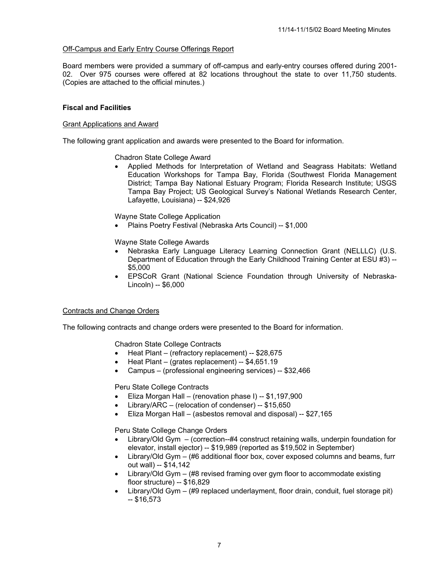# Off-Campus and Early Entry Course Offerings Report

Board members were provided a summary of off-campus and early-entry courses offered during 2001- 02. Over 975 courses were offered at 82 locations throughout the state to over 11,750 students. (Copies are attached to the official minutes.)

# **Fiscal and Facilities**

### Grant Applications and Award

The following grant application and awards were presented to the Board for information.

Chadron State College Award

• Applied Methods for Interpretation of Wetland and Seagrass Habitats: Wetland Education Workshops for Tampa Bay, Florida (Southwest Florida Management District; Tampa Bay National Estuary Program; Florida Research Institute; USGS Tampa Bay Project; US Geological Survey's National Wetlands Research Center, Lafayette, Louisiana) -- \$24,926

Wayne State College Application

• Plains Poetry Festival (Nebraska Arts Council) -- \$1,000

Wayne State College Awards

- Nebraska Early Language Literacy Learning Connection Grant (NELLLC) (U.S. Department of Education through the Early Childhood Training Center at ESU #3) -- \$5,000
- EPSCoR Grant (National Science Foundation through University of Nebraska-Lincoln) -- \$6,000

### Contracts and Change Orders

The following contracts and change orders were presented to the Board for information.

Chadron State College Contracts

- Heat Plant (refractory replacement) -- \$28,675
- Heat Plant (grates replacement) -- \$4,651.19
- Campus (professional engineering services) -- \$32,466

Peru State College Contracts

- Eliza Morgan Hall (renovation phase I) -- \$1,197,900
- Library/ARC (relocation of condenser) -- \$15,650
- Eliza Morgan Hall (asbestos removal and disposal) -- \$27,165

Peru State College Change Orders

- Library/Old Gym (correction--#4 construct retaining walls, underpin foundation for elevator, install ejector) -- \$19,989 (reported as \$19,502 in September)
- Library/Old Gym (#6 additional floor box, cover exposed columns and beams, furr out wall) -- \$14,142
- Library/Old Gym (#8 revised framing over gym floor to accommodate existing floor structure) -- \$16,829
- Library/Old Gym (#9 replaced underlayment, floor drain, conduit, fuel storage pit)  $-$  \$16,573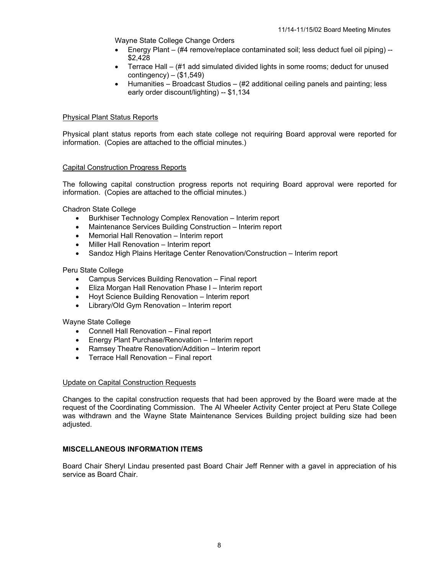Wayne State College Change Orders

- Energy Plant (#4 remove/replace contaminated soil; less deduct fuel oil piping) -- \$2,428
- Terrace Hall (#1 add simulated divided lights in some rooms; deduct for unused contingency) – (\$1,549)
- Humanities Broadcast Studios (#2 additional ceiling panels and painting; less early order discount/lighting) -- \$1,134

### Physical Plant Status Reports

Physical plant status reports from each state college not requiring Board approval were reported for information. (Copies are attached to the official minutes.)

### Capital Construction Progress Reports

The following capital construction progress reports not requiring Board approval were reported for information. (Copies are attached to the official minutes.)

Chadron State College

- Burkhiser Technology Complex Renovation Interim report
- Maintenance Services Building Construction Interim report
- Memorial Hall Renovation Interim report
- Miller Hall Renovation Interim report
- Sandoz High Plains Heritage Center Renovation/Construction Interim report

Peru State College

- Campus Services Building Renovation Final report
- Eliza Morgan Hall Renovation Phase I Interim report
- Hoyt Science Building Renovation Interim report
- Library/Old Gym Renovation Interim report

Wayne State College

- Connell Hall Renovation Final report
- Energy Plant Purchase/Renovation Interim report
- Ramsey Theatre Renovation/Addition Interim report
- Terrace Hall Renovation Final report

### Update on Capital Construction Requests

Changes to the capital construction requests that had been approved by the Board were made at the request of the Coordinating Commission. The Al Wheeler Activity Center project at Peru State College was withdrawn and the Wayne State Maintenance Services Building project building size had been adjusted.

### **MISCELLANEOUS INFORMATION ITEMS**

Board Chair Sheryl Lindau presented past Board Chair Jeff Renner with a gavel in appreciation of his service as Board Chair.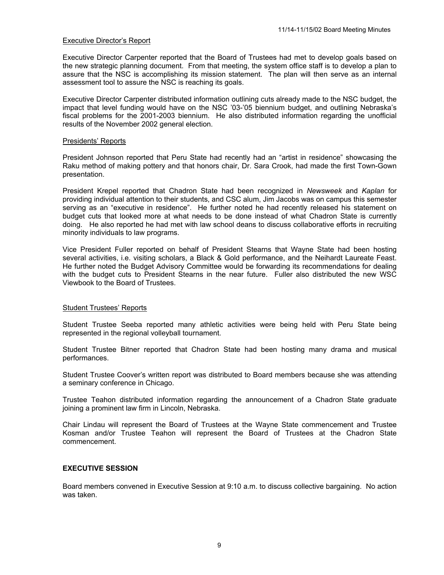# Executive Director's Report

Executive Director Carpenter reported that the Board of Trustees had met to develop goals based on the new strategic planning document. From that meeting, the system office staff is to develop a plan to assure that the NSC is accomplishing its mission statement. The plan will then serve as an internal assessment tool to assure the NSC is reaching its goals.

Executive Director Carpenter distributed information outlining cuts already made to the NSC budget, the impact that level funding would have on the NSC '03-'05 biennium budget, and outlining Nebraska's fiscal problems for the 2001-2003 biennium. He also distributed information regarding the unofficial results of the November 2002 general election.

#### Presidents' Reports

President Johnson reported that Peru State had recently had an "artist in residence" showcasing the Raku method of making pottery and that honors chair, Dr. Sara Crook, had made the first Town-Gown presentation.

President Krepel reported that Chadron State had been recognized in *Newsweek* and *Kaplan* for providing individual attention to their students, and CSC alum, Jim Jacobs was on campus this semester serving as an "executive in residence". He further noted he had recently released his statement on budget cuts that looked more at what needs to be done instead of what Chadron State is currently doing. He also reported he had met with law school deans to discuss collaborative efforts in recruiting minority individuals to law programs.

Vice President Fuller reported on behalf of President Stearns that Wayne State had been hosting several activities, i.e. visiting scholars, a Black & Gold performance, and the Neihardt Laureate Feast. He further noted the Budget Advisory Committee would be forwarding its recommendations for dealing with the budget cuts to President Stearns in the near future. Fuller also distributed the new WSC Viewbook to the Board of Trustees.

### Student Trustees' Reports

Student Trustee Seeba reported many athletic activities were being held with Peru State being represented in the regional volleyball tournament.

Student Trustee Bitner reported that Chadron State had been hosting many drama and musical performances.

Student Trustee Coover's written report was distributed to Board members because she was attending a seminary conference in Chicago.

Trustee Teahon distributed information regarding the announcement of a Chadron State graduate joining a prominent law firm in Lincoln, Nebraska.

Chair Lindau will represent the Board of Trustees at the Wayne State commencement and Trustee Kosman and/or Trustee Teahon will represent the Board of Trustees at the Chadron State commencement.

## **EXECUTIVE SESSION**

Board members convened in Executive Session at 9:10 a.m. to discuss collective bargaining. No action was taken.